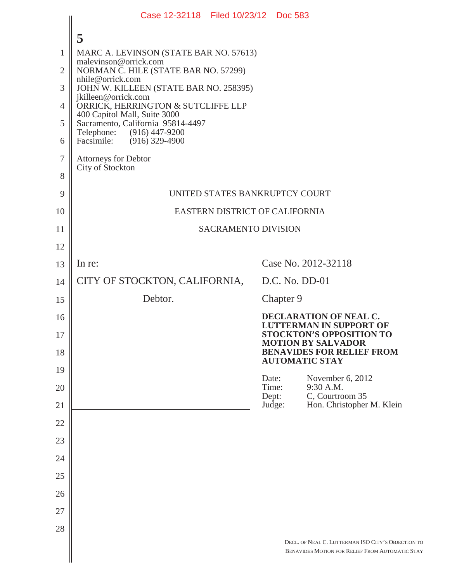|                | Case 12-32118 Filed 10/23/12 Doc 583                              |                          |           |                                                                                                       |  |
|----------------|-------------------------------------------------------------------|--------------------------|-----------|-------------------------------------------------------------------------------------------------------|--|
|                | 5                                                                 |                          |           |                                                                                                       |  |
| 1              | MARC A. LEVINSON (STATE BAR NO. 57613)                            |                          |           |                                                                                                       |  |
| $\overline{2}$ | malevinson@orrick.com<br>NORMAN C. HILE (STATE BAR NO. 57299)     |                          |           |                                                                                                       |  |
| 3              | nhile@orrick.com<br>JOHN W. KILLEEN (STATE BAR NO. 258395)        |                          |           |                                                                                                       |  |
| $\overline{4}$ | jkilleen@orrick.com<br>ORRICK, HERRINGTON & SUTCLIFFE LLP         |                          |           |                                                                                                       |  |
| 5              | 400 Capitol Mall, Suite 3000<br>Sacramento, California 95814-4497 |                          |           |                                                                                                       |  |
| 6              | Telephone: (916) 447-9200<br>Facsimile: (916) 329-4900            |                          |           |                                                                                                       |  |
| $\tau$         | <b>Attorneys for Debtor</b>                                       |                          |           |                                                                                                       |  |
| 8              | City of Stockton                                                  |                          |           |                                                                                                       |  |
| 9              | UNITED STATES BANKRUPTCY COURT                                    |                          |           |                                                                                                       |  |
| 10             | EASTERN DISTRICT OF CALIFORNIA                                    |                          |           |                                                                                                       |  |
| 11             | <b>SACRAMENTO DIVISION</b>                                        |                          |           |                                                                                                       |  |
| 12             |                                                                   |                          |           |                                                                                                       |  |
| 13             | In re:                                                            |                          |           | Case No. 2012-32118                                                                                   |  |
| 14             | CITY OF STOCKTON, CALIFORNIA,                                     |                          |           | $D.C. No. DD-01$                                                                                      |  |
| 15             | Debtor.                                                           |                          | Chapter 9 |                                                                                                       |  |
| 16             |                                                                   |                          |           | DECLARATION OF NEAL C.<br><b>LUTTERMAN IN SUPPORT OF</b>                                              |  |
| 17             |                                                                   |                          |           | <b>STOCKTON'S OPPOSITION TO</b><br><b>MOTION BY SALVADOR</b>                                          |  |
| 18             |                                                                   |                          |           | <b>BENAVIDES FOR RELIEF FROM</b><br><b>AUTOMATIC STAY</b>                                             |  |
| 19             |                                                                   | Date:                    |           | November 6, 2012                                                                                      |  |
| 20<br>21       |                                                                   | Time:<br>Dept:<br>Judge: |           | 9:30 A.M.<br>C, Courtroom 35<br>Hon. Christopher M. Klein                                             |  |
| 22             |                                                                   |                          |           |                                                                                                       |  |
| 23             |                                                                   |                          |           |                                                                                                       |  |
| 24             |                                                                   |                          |           |                                                                                                       |  |
| 25             |                                                                   |                          |           |                                                                                                       |  |
| 26             |                                                                   |                          |           |                                                                                                       |  |
| 27             |                                                                   |                          |           |                                                                                                       |  |
| 28             |                                                                   |                          |           |                                                                                                       |  |
|                |                                                                   |                          |           | DECL. OF NEAL C. LUTTERMAN ISO CITY'S OBJECTION TO<br>BENAVIDES MOTION FOR RELIEF FROM AUTOMATIC STAY |  |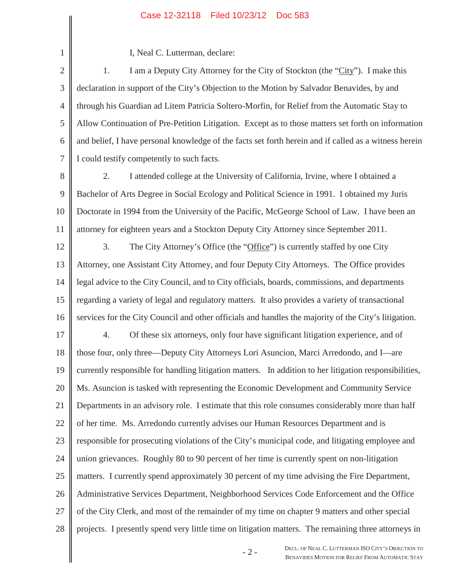## Case 12-32118 Filed 10/23/12 Doc 583

I, Neal C. Lutterman, declare:

2 3 4 5 6 7 1. I am a Deputy City Attorney for the City of Stockton (the "City"). I make this declaration in support of the City's Objection to the Motion by Salvador Benavides, by and through his Guardian ad Litem Patricia Soltero-Morfin, for Relief from the Automatic Stay to Allow Continuation of Pre-Petition Litigation. Except as to those matters set forth on information and belief, I have personal knowledge of the facts set forth herein and if called as a witness herein I could testify competently to such facts.

8

1

9 10 11 2. I attended college at the University of California, Irvine, where I obtained a Bachelor of Arts Degree in Social Ecology and Political Science in 1991. I obtained my Juris Doctorate in 1994 from the University of the Pacific, McGeorge School of Law. I have been an attorney for eighteen years and a Stockton Deputy City Attorney since September 2011.

12 13 14 15 16 3. The City Attorney's Office (the "Office") is currently staffed by one City Attorney, one Assistant City Attorney, and four Deputy City Attorneys. The Office provides legal advice to the City Council, and to City officials, boards, commissions, and departments regarding a variety of legal and regulatory matters. It also provides a variety of transactional services for the City Council and other officials and handles the majority of the City's litigation.

17 18 19 20 21 22 23 24 25 26 27 28 4. Of these six attorneys, only four have significant litigation experience, and of those four, only three—Deputy City Attorneys Lori Asuncion, Marci Arredondo, and I—are currently responsible for handling litigation matters. In addition to her litigation responsibilities, Ms. Asuncion is tasked with representing the Economic Development and Community Service Departments in an advisory role. I estimate that this role consumes considerably more than half of her time. Ms. Arredondo currently advises our Human Resources Department and is responsible for prosecuting violations of the City's municipal code, and litigating employee and union grievances. Roughly 80 to 90 percent of her time is currently spent on non-litigation matters. I currently spend approximately 30 percent of my time advising the Fire Department, Administrative Services Department, Neighborhood Services Code Enforcement and the Office of the City Clerk, and most of the remainder of my time on chapter 9 matters and other special projects. I presently spend very little time on litigation matters. The remaining three attorneys in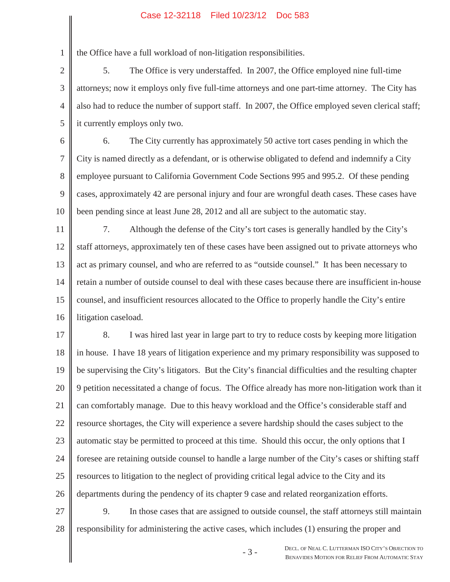## Case 12-32118 Filed 10/23/12 Doc 583

the Office have a full workload of non-litigation responsibilities.

1

2 3 4 5 5. The Office is very understaffed. In 2007, the Office employed nine full-time attorneys; now it employs only five full-time attorneys and one part-time attorney. The City has also had to reduce the number of support staff. In 2007, the Office employed seven clerical staff; it currently employs only two.

6 7 8 9 10 6. The City currently has approximately 50 active tort cases pending in which the City is named directly as a defendant, or is otherwise obligated to defend and indemnify a City employee pursuant to California Government Code Sections 995 and 995.2. Of these pending cases, approximately 42 are personal injury and four are wrongful death cases. These cases have been pending since at least June 28, 2012 and all are subject to the automatic stay.

11 12 13 14 15 16 7. Although the defense of the City's tort cases is generally handled by the City's staff attorneys, approximately ten of these cases have been assigned out to private attorneys who act as primary counsel, and who are referred to as "outside counsel." It has been necessary to retain a number of outside counsel to deal with these cases because there are insufficient in-house counsel, and insufficient resources allocated to the Office to properly handle the City's entire litigation caseload.

17 18 19 20 21 22 23 24 25 26 27 8. I was hired last year in large part to try to reduce costs by keeping more litigation in house. I have 18 years of litigation experience and my primary responsibility was supposed to be supervising the City's litigators. But the City's financial difficulties and the resulting chapter 9 petition necessitated a change of focus. The Office already has more non-litigation work than it can comfortably manage. Due to this heavy workload and the Office's considerable staff and resource shortages, the City will experience a severe hardship should the cases subject to the automatic stay be permitted to proceed at this time. Should this occur, the only options that I foresee are retaining outside counsel to handle a large number of the City's cases or shifting staff resources to litigation to the neglect of providing critical legal advice to the City and its departments during the pendency of its chapter 9 case and related reorganization efforts. 9. In those cases that are assigned to outside counsel, the staff attorneys still maintain

28 responsibility for administering the active cases, which includes (1) ensuring the proper and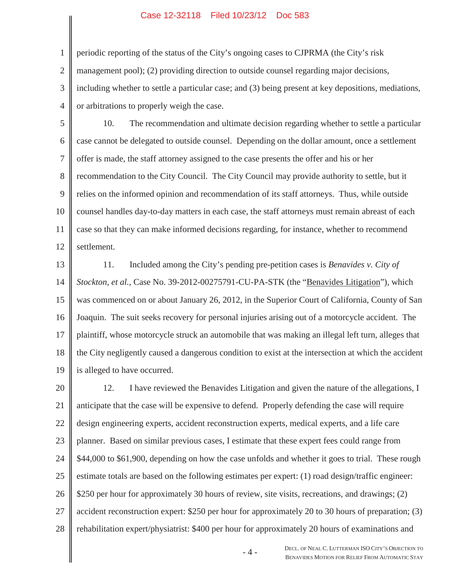## Case 12-32118 Filed 10/23/12 Doc 583

periodic reporting of the status of the City's ongoing cases to CJPRMA (the City's risk

1

2 management pool); (2) providing direction to outside counsel regarding major decisions,

3 4 including whether to settle a particular case; and (3) being present at key depositions, mediations, or arbitrations to properly weigh the case.

5 6 7 8 9 10 11 12 10. The recommendation and ultimate decision regarding whether to settle a particular case cannot be delegated to outside counsel. Depending on the dollar amount, once a settlement offer is made, the staff attorney assigned to the case presents the offer and his or her recommendation to the City Council. The City Council may provide authority to settle, but it relies on the informed opinion and recommendation of its staff attorneys. Thus, while outside counsel handles day-to-day matters in each case, the staff attorneys must remain abreast of each case so that they can make informed decisions regarding, for instance, whether to recommend settlement.

13 14 15 16 17 18 19 11. Included among the City's pending pre-petition cases is *Benavides v. City of Stockton, et al.*, Case No. 39-2012-00275791-CU-PA-STK (the "Benavides Litigation"), which was commenced on or about January 26, 2012, in the Superior Court of California, County of San Joaquin. The suit seeks recovery for personal injuries arising out of a motorcycle accident. The plaintiff, whose motorcycle struck an automobile that was making an illegal left turn, alleges that the City negligently caused a dangerous condition to exist at the intersection at which the accident is alleged to have occurred.

20 21 22 23 24 25 26 27 28 12. I have reviewed the Benavides Litigation and given the nature of the allegations, I anticipate that the case will be expensive to defend. Properly defending the case will require design engineering experts, accident reconstruction experts, medical experts, and a life care planner. Based on similar previous cases, I estimate that these expert fees could range from \$44,000 to \$61,900, depending on how the case unfolds and whether it goes to trial. These rough estimate totals are based on the following estimates per expert: (1) road design/traffic engineer: \$250 per hour for approximately 30 hours of review, site visits, recreations, and drawings; (2) accident reconstruction expert: \$250 per hour for approximately 20 to 30 hours of preparation; (3) rehabilitation expert/physiatrist: \$400 per hour for approximately 20 hours of examinations and